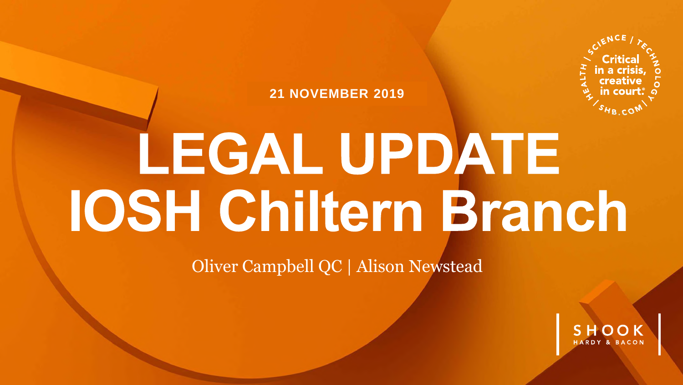

**21 NOVEMBER 2019**

# LEGAL UPDATE **IOSH Chiltern Branch**

Oliver Campbell QC | Alison Newstead

SHOOK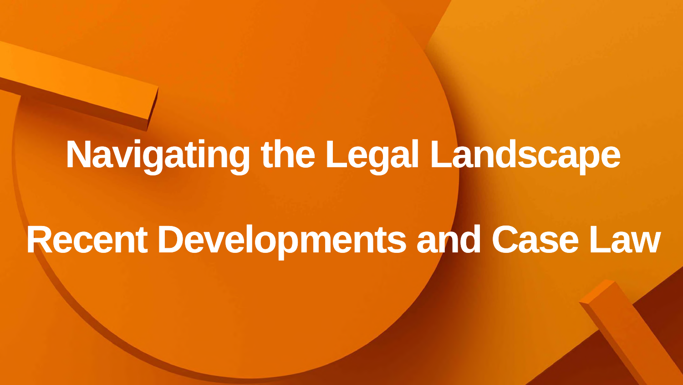# **Navigating the Legal Landscape**

# **Recent Developments and Case Law**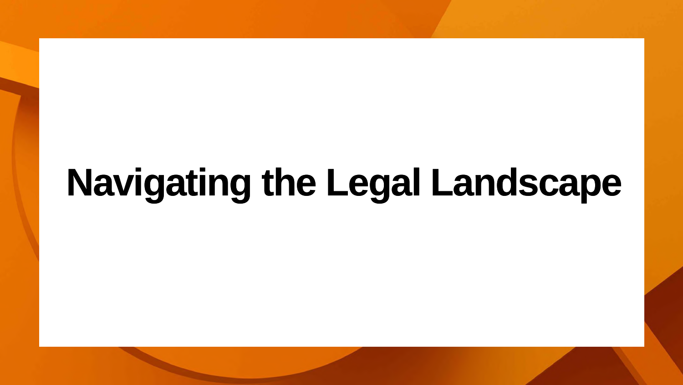# **Navigating the Legal Landscape**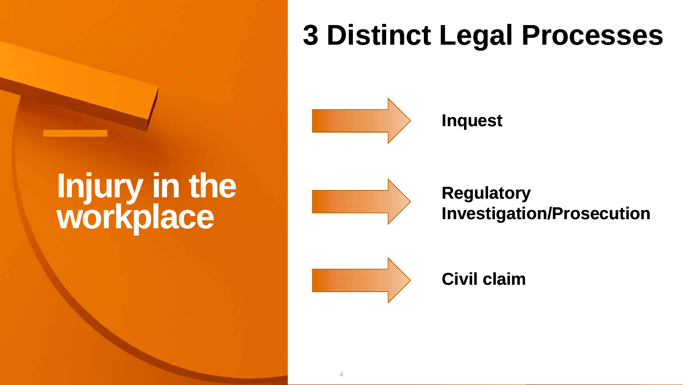# **Injury in the workplace**



**4**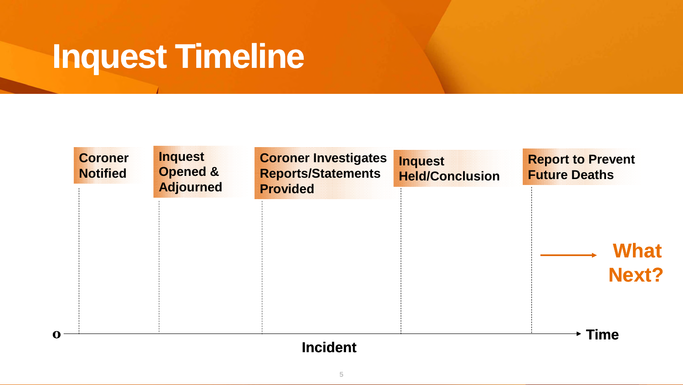## **Inquest Timeline**

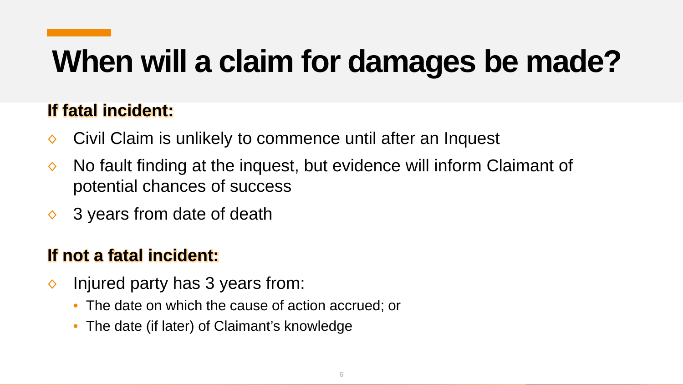# **When will a claim for damages be made?**

#### **If fatal incident:**

- ◊ Civil Claim is unlikely to commence until after an Inquest
- $\Diamond$  No fault finding at the inquest, but evidence will inform Claimant of potential chances of success
- $\Diamond$  3 years from date of death

#### **If not a fatal incident:**

- $\Diamond$  Injured party has 3 years from:
	- The date on which the cause of action accrued; or
	- The date (if later) of Claimant's knowledge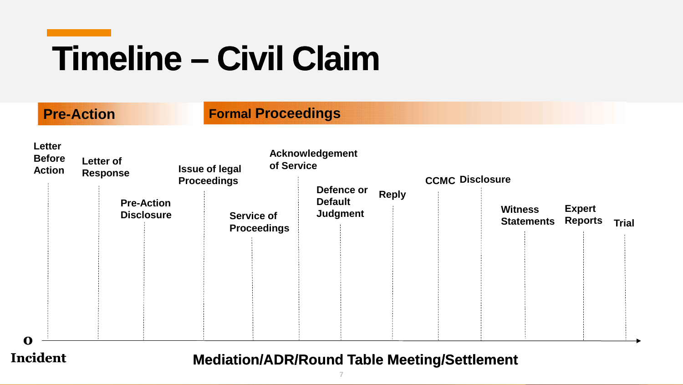# **Timeline – Civil Claim**

| <b>Letter</b><br><b>Before</b><br><b>Action</b> | <b>Letter of</b><br><b>Response</b>    | of Service<br><b>Issue of legal</b><br><b>Proceedings</b> | <b>Acknowledgement</b>                          |              | <b>CCMC Disclosure</b>              |                                 |              |  |
|-------------------------------------------------|----------------------------------------|-----------------------------------------------------------|-------------------------------------------------|--------------|-------------------------------------|---------------------------------|--------------|--|
| $\mathbf 0$                                     | <b>Pre-Action</b><br><b>Disclosure</b> | <b>Service of</b><br><b>Proceedings</b>                   | Defence or<br><b>Default</b><br><b>Judgment</b> | <b>Reply</b> | <b>Witness</b><br><b>Statements</b> | <b>Expert</b><br><b>Reports</b> | <b>Trial</b> |  |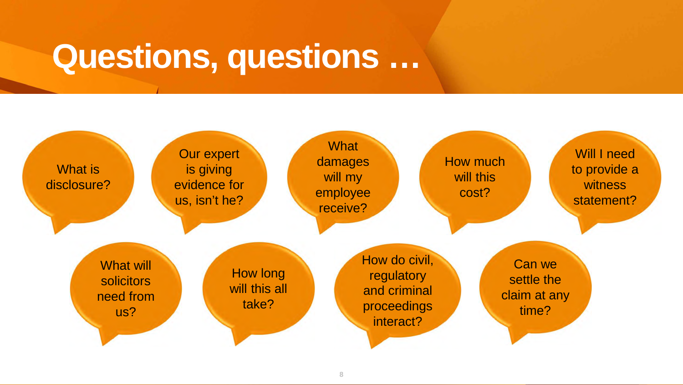### **Questions, questions …**

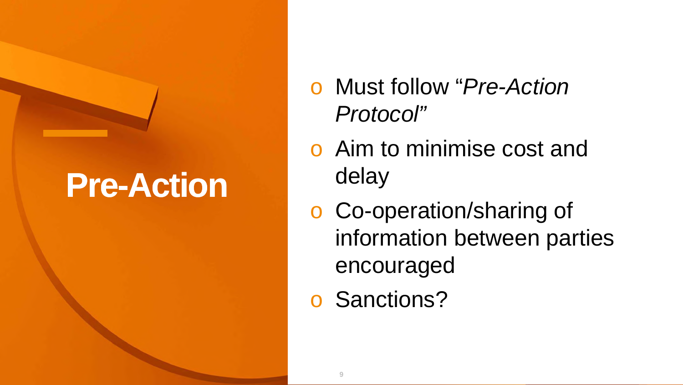### **Pre-Action**

- o Must follow "*Pre-Action Protocol"*
- o Aim to minimise cost and delay
- o Co-operation/sharing of information between parties encouraged
- Sanctions?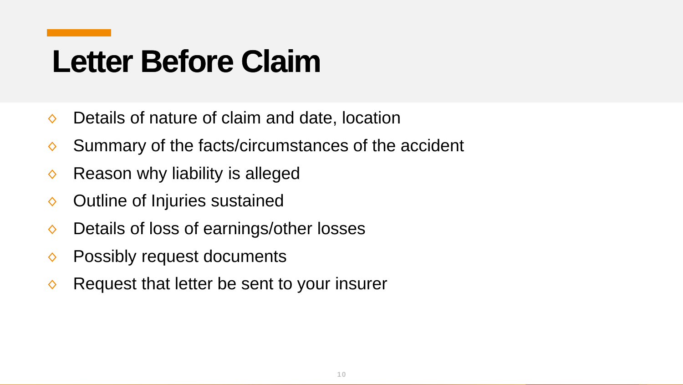### **Letter Before Claim**

- ◊ Details of nature of claim and date, location
- ◊ Summary of the facts/circumstances of the accident
- $\diamond$  Reason why liability is alleged
- ◊ Outline of Injuries sustained
- ◊ Details of loss of earnings/other losses
- ◊ Possibly request documents
- ◊ Request that letter be sent to your insurer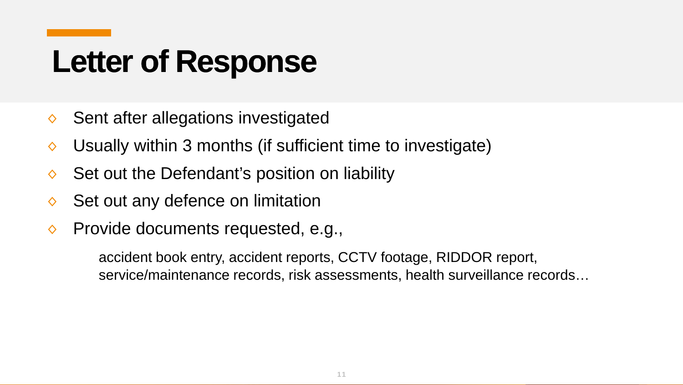### **Letter of Response**

- ◊ Sent after allegations investigated
- ◊ Usually within 3 months (if sufficient time to investigate)
- ◊ Set out the Defendant's position on liability
- $\Diamond$  Set out any defence on limitation
- $\Diamond$  Provide documents requested, e.g.,

accident book entry, accident reports, CCTV footage, RIDDOR report, service/maintenance records, risk assessments, health surveillance records…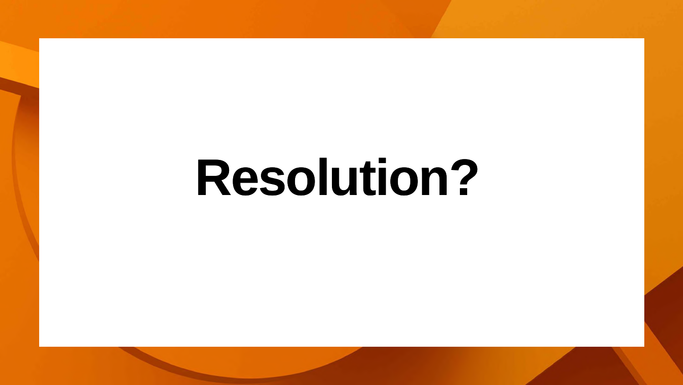# **Resolution?**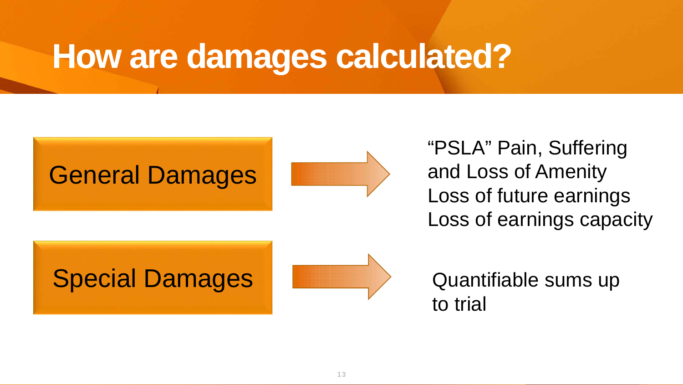#### **How are damages calculated?**



"PSLA" Pain, Suffering and Loss of Amenity Loss of future earnings Loss of earnings capacity

Quantifiable sums up to trial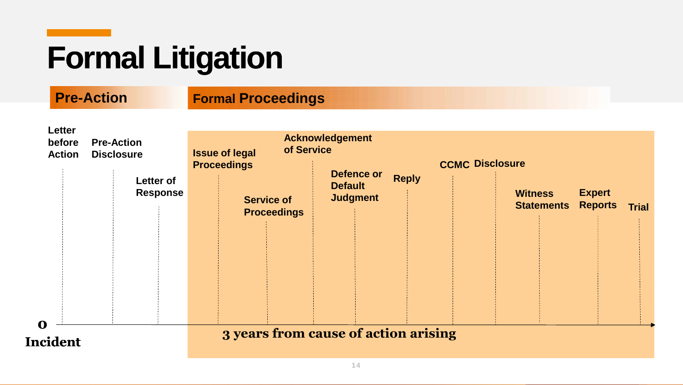# **Formal Litigation**

#### **Pre-Action Formal Proceedings**

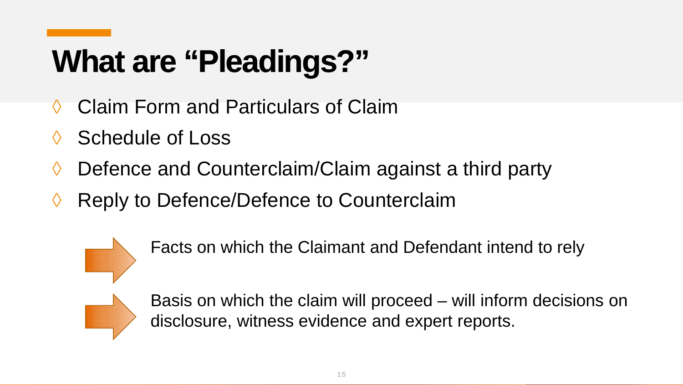# **What are "Pleadings?"**

- ◊ Claim Form and Particulars of Claim
- ◊ Schedule of Loss
- ◊ Defence and Counterclaim/Claim against a third party
- ◊ Reply to Defence/Defence to Counterclaim



Facts on which the Claimant and Defendant intend to rely



Basis on which the claim will proceed – will inform decisions on disclosure, witness evidence and expert reports.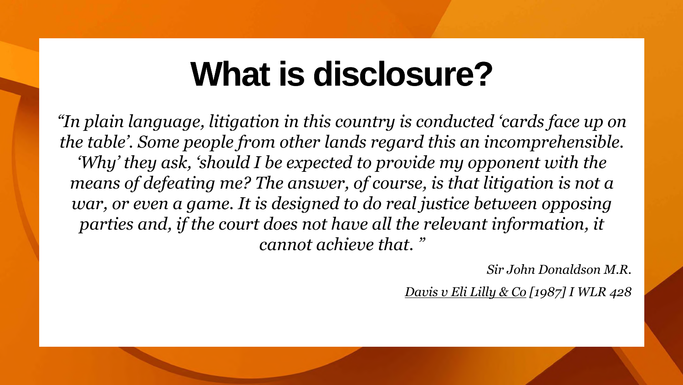### **What is disclosure?**

*"In plain language, litigation in this country is conducted 'cards face up on the table'. Some people from other lands regard this an incomprehensible. 'Why' they ask, 'should I be expected to provide my opponent with the*  means of defeating me? The answer, of course, is that litigation is not a *war, or even a game. It is designed to do real justice between opposing* parties and, if the court does not have all the relevant information, it *cannot achieve that. "*

*Sir John Donaldson M.R.*

*Davis v Eli Lilly & Co [1987] I WLR 428*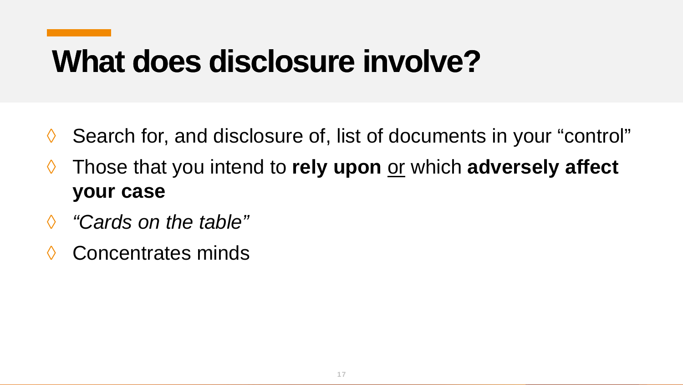### **What does disclosure involve?**

- ◊ Search for, and disclosure of, list of documents in your "control"
- ◊ Those that you intend to **rely upon** or which **adversely affect your case**
- ◊ *"Cards on the table"*
- ◊ Concentrates minds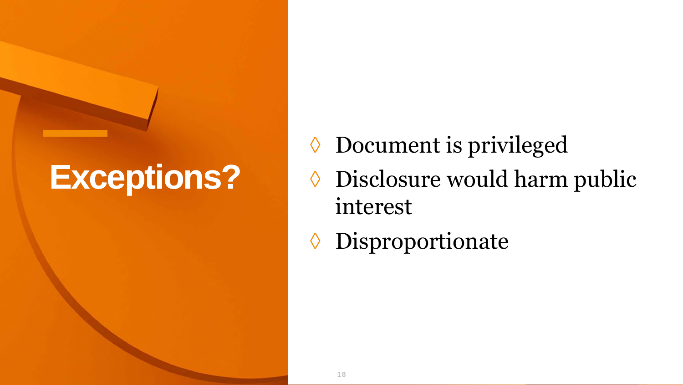### **Exceptions?**

◊ Document is privileged ◊ Disclosure would harm public interest

◊ Disproportionate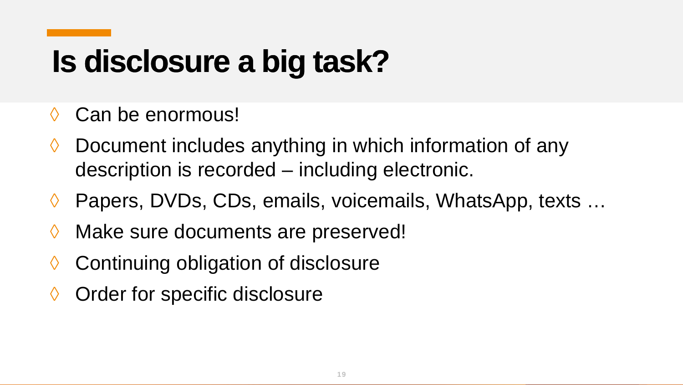# **Is disclosure a big task?**

- ◊ Can be enormous!
- ◊ Document includes anything in which information of any description is recorded – including electronic.
- ◊ Papers, DVDs, CDs, emails, voicemails, WhatsApp, texts …
- ◊ Make sure documents are preserved!
- ◊ Continuing obligation of disclosure
- ◊ Order for specific disclosure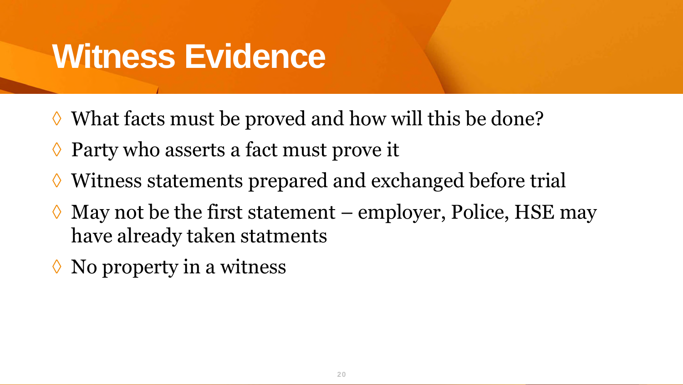### **Witness Evidence**

- ◊ What facts must be proved and how will this be done?
- ◊ Party who asserts a fact must prove it
- ◊ Witness statements prepared and exchanged before trial
- $\Diamond$  May not be the first statement employer, Police, HSE may have already taken statments
- $\Diamond$  No property in a witness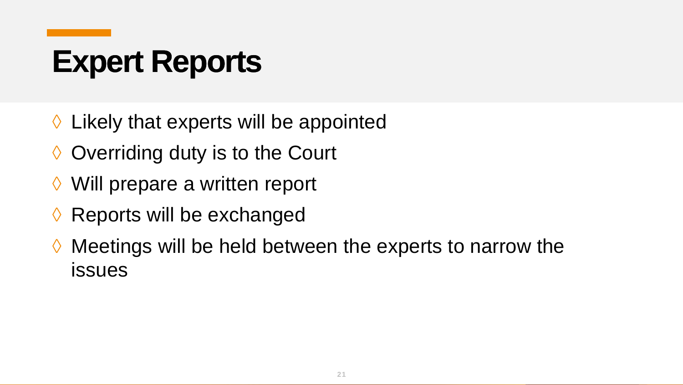## **Expert Reports**

- ◊ Likely that experts will be appointed
- ♦ Overriding duty is to the Court
- ◊ Will prepare a written report
- ◊ Reports will be exchanged
- ◊ Meetings will be held between the experts to narrow the issues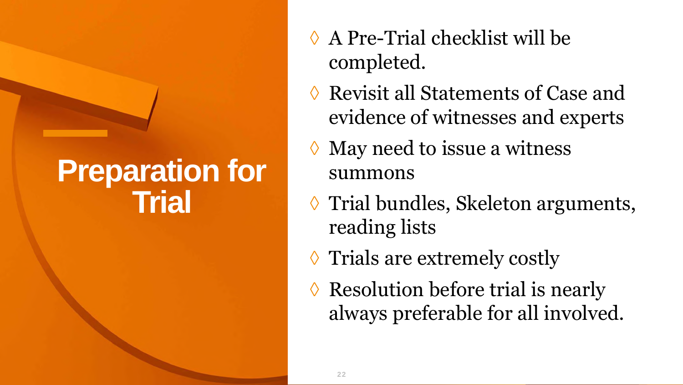#### **Preparation for Trial**

- ◊ A Pre-Trial checklist will be completed.
- **Revisit all Statements of Case and** evidence of witnesses and experts
- May need to issue a witness summons
- ◊ Trial bundles, Skeleton arguments, reading lists
- ◊ Trials are extremely costly
- Resolution before trial is nearly always preferable for all involved.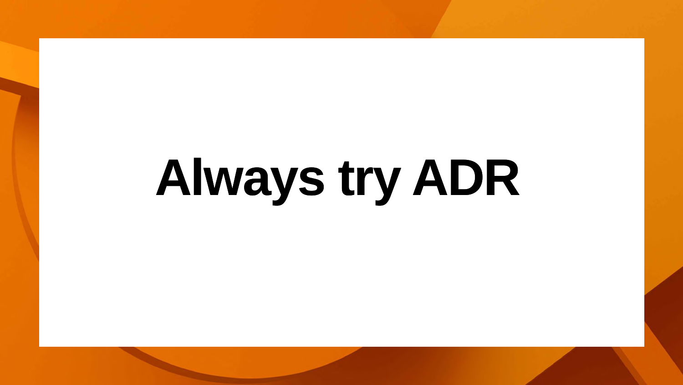# **Always try ADR**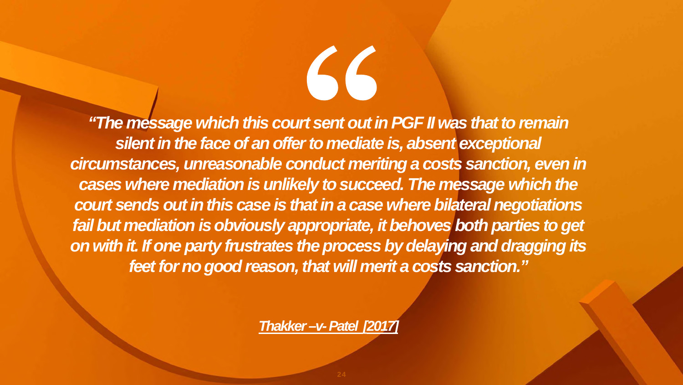*"The message which this court sent out in PGF II was that to remain silent in the face of an offer to mediate is, absent exceptional circumstances, unreasonable conduct meriting a costs sanction, even in cases where mediation is unlikely to succeed. The message which the court sends out in this case is that in a case where bilateral negotiations fail but mediation is obviously appropriate, it behoves both parties to get on with it. If one party frustrates the process by delaying and dragging its feet for no good reason, that will merit a costs sanction."*

56

*Thakker–v-Patel [2017]*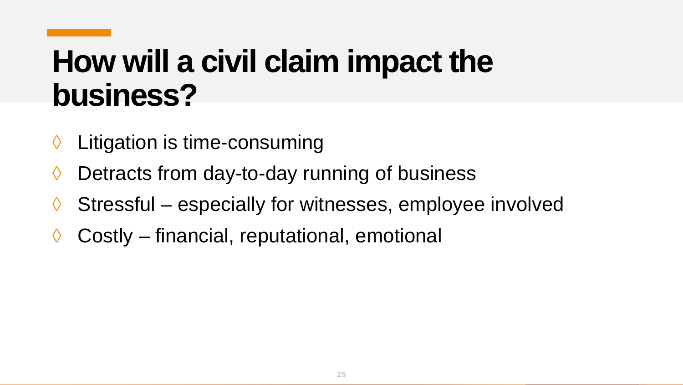### **How will a civil claim impact the business?**

- ◊ Litigation is time-consuming
- ◊ Detracts from day-to-day running of business
- ◊ Stressful especially for witnesses, employee involved
- ◊ Costly financial, reputational, emotional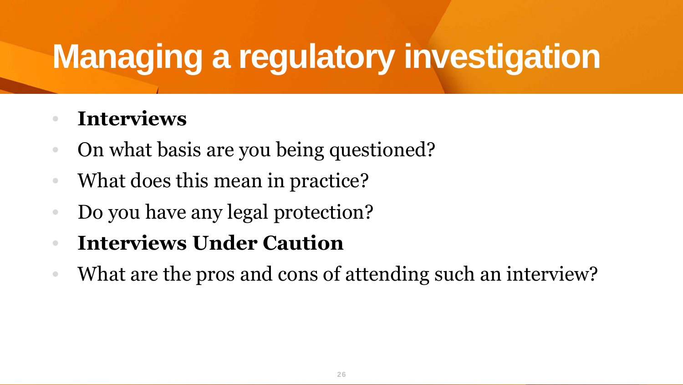# **Managing a regulatory investigation**

#### • **Interviews**

- On what basis are you being questioned?
- What does this mean in practice?
- Do you have any legal protection?
- **Interviews Under Caution**
- What are the pros and cons of attending such an interview?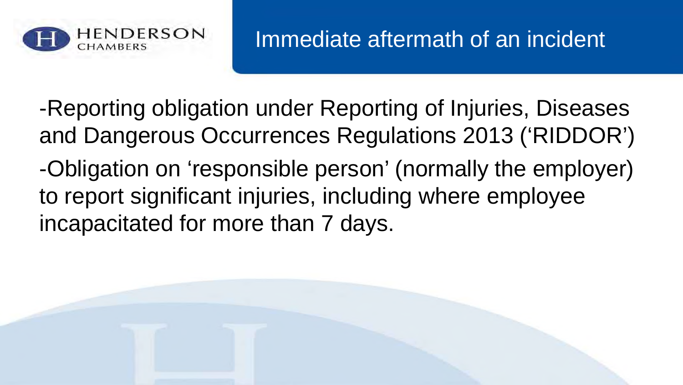

-Reporting obligation under Reporting of Injuries, Diseases and Dangerous Occurrences Regulations 2013 ('RIDDOR') -Obligation on 'responsible person' (normally the employer) to report significant injuries, including where employee incapacitated for more than 7 days.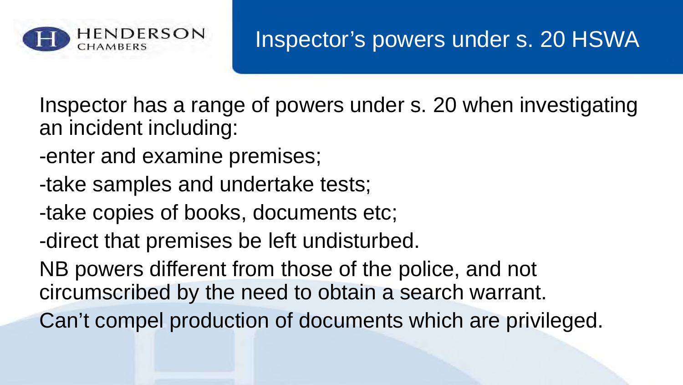

#### Inspector's powers under s. 20 HSWA

Inspector has a range of powers under s. 20 when investigating an incident including:

- -enter and examine premises;
- -take samples and undertake tests;
- -take copies of books, documents etc;
- -direct that premises be left undisturbed.

NB powers different from those of the police, and not circumscribed by the need to obtain a search warrant.

Can't compel production of documents which are privileged.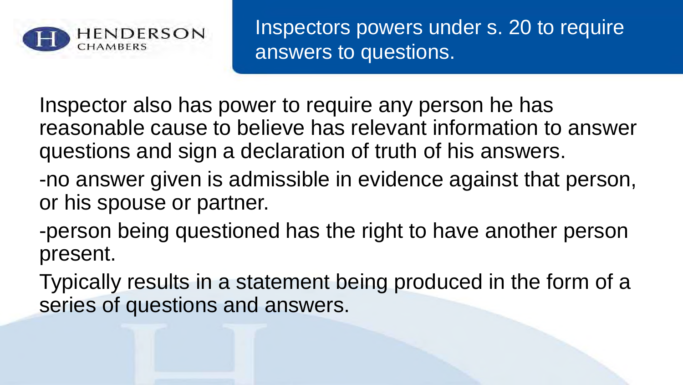

Inspectors powers under s. 20 to require answers to questions.

Inspector also has power to require any person he has reasonable cause to believe has relevant information to answer questions and sign a declaration of truth of his answers.

- -no answer given is admissible in evidence against that person, or his spouse or partner.
- -person being questioned has the right to have another person present.
- Typically results in a statement being produced in the form of a series of questions and answers.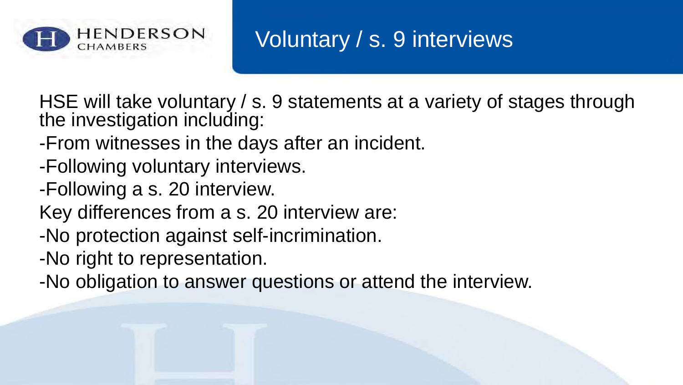

#### Voluntary / s. 9 interviews

HSE will take voluntary / s. 9 statements at a variety of stages through the investigation including:

- -From witnesses in the days after an incident.
- -Following voluntary interviews.
- -Following a s. 20 interview.
- Key differences from a s. 20 interview are:
- -No protection against self-incrimination.
- -No right to representation.
- -No obligation to answer questions or attend the interview.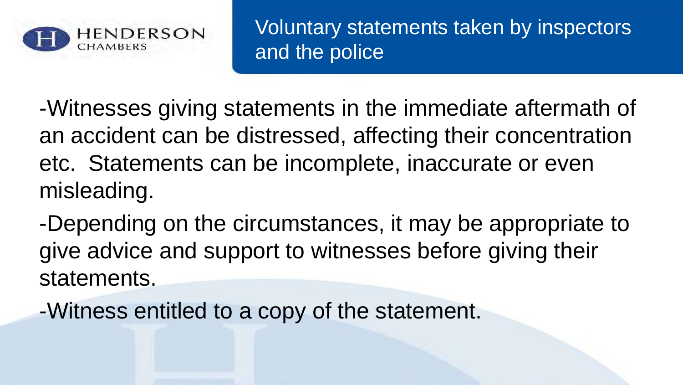

Voluntary statements taken by inspectors and the police

-Witnesses giving statements in the immediate aftermath of an accident can be distressed, affecting their concentration etc. Statements can be incomplete, inaccurate or even misleading.

-Depending on the circumstances, it may be appropriate to give advice and support to witnesses before giving their statements.

-Witness entitled to a copy of the statement.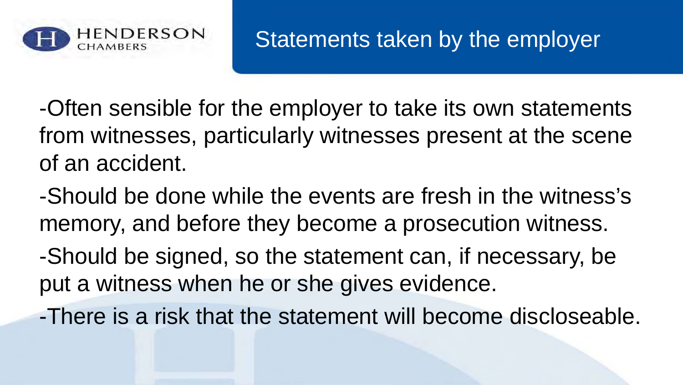

-Often sensible for the employer to take its own statements from witnesses, particularly witnesses present at the scene of an accident.

-Should be done while the events are fresh in the witness's memory, and before they become a prosecution witness.

-Should be signed, so the statement can, if necessary, be put a witness when he or she gives evidence.

-There is a risk that the statement will become discloseable.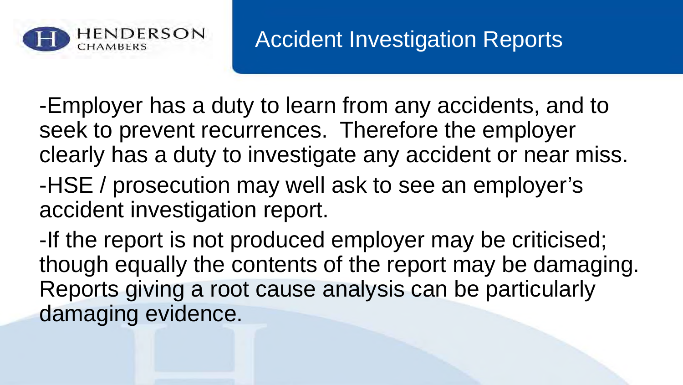

-Employer has a duty to learn from any accidents, and to seek to prevent recurrences. Therefore the employer clearly has a duty to investigate any accident or near miss. -HSE / prosecution may well ask to see an employer's accident investigation report.

-If the report is not produced employer may be criticised; though equally the contents of the report may be damaging. Reports giving a root cause analysis can be particularly damaging evidence.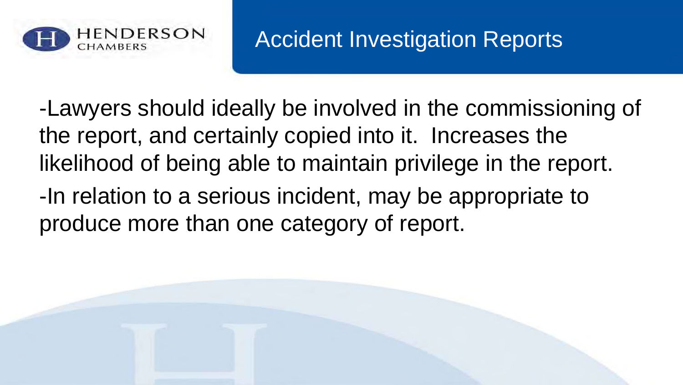

#### Accident Investigation Reports

-Lawyers should ideally be involved in the commissioning of the report, and certainly copied into it. Increases the likelihood of being able to maintain privilege in the report.

-In relation to a serious incident, may be appropriate to produce more than one category of report.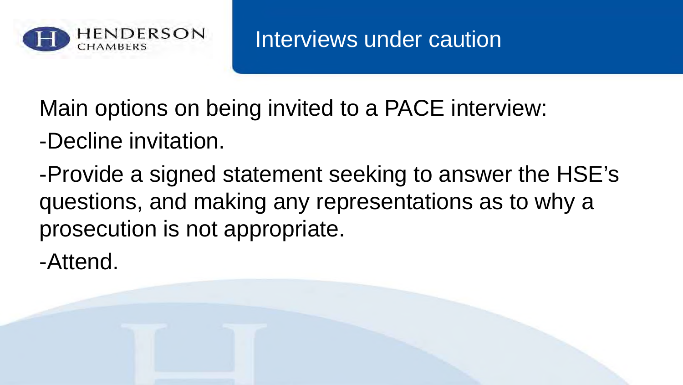

Interviews under caution

Main options on being invited to a PACE interview:

- -Decline invitation.
- -Provide a signed statement seeking to answer the HSE's questions, and making any representations as to why a prosecution is not appropriate.
- -Attend.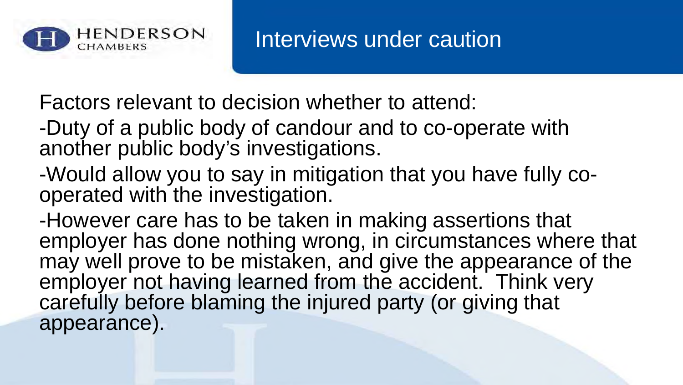

Factors relevant to decision whether to attend:

- -Duty of a public body of candour and to co-operate with another public body's investigations.
- -Would allow you to say in mitigation that you have fully cooperated with the investigation.
- -However care has to be taken in making assertions that employer has done nothing wrong, in circumstances where that may well prove to be mistaken, and give the appearance of the employer not having learned from the accident. Think very carefully before blaming the injured party (or giving that appearance).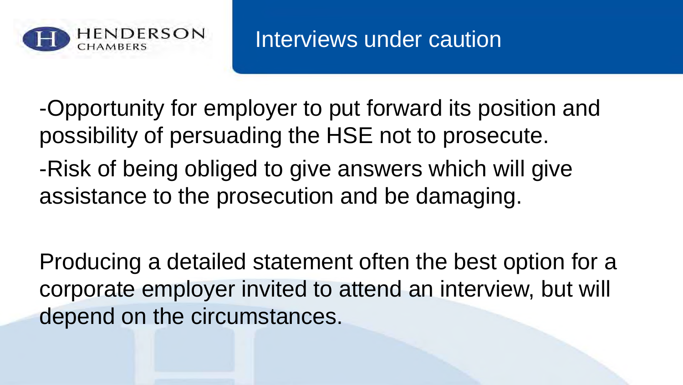

-Opportunity for employer to put forward its position and possibility of persuading the HSE not to prosecute. -Risk of being obliged to give answers which will give assistance to the prosecution and be damaging.

Producing a detailed statement often the best option for a corporate employer invited to attend an interview, but will depend on the circumstances.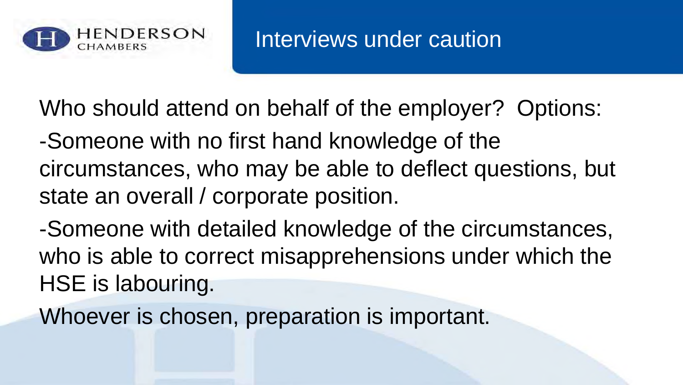

Who should attend on behalf of the employer? Options:

- -Someone with no first hand knowledge of the circumstances, who may be able to deflect questions, but state an overall / corporate position.
- -Someone with detailed knowledge of the circumstances, who is able to correct misapprehensions under which the HSE is labouring.
- Whoever is chosen, preparation is important.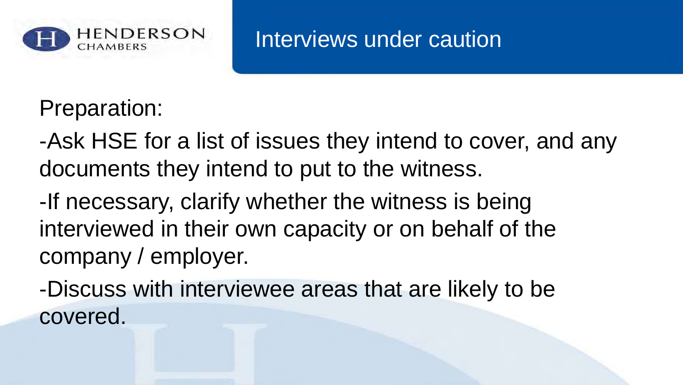

Interviews under caution

Preparation:

-Ask HSE for a list of issues they intend to cover, and any documents they intend to put to the witness.

-If necessary, clarify whether the witness is being interviewed in their own capacity or on behalf of the company / employer.

-Discuss with interviewee areas that are likely to be covered.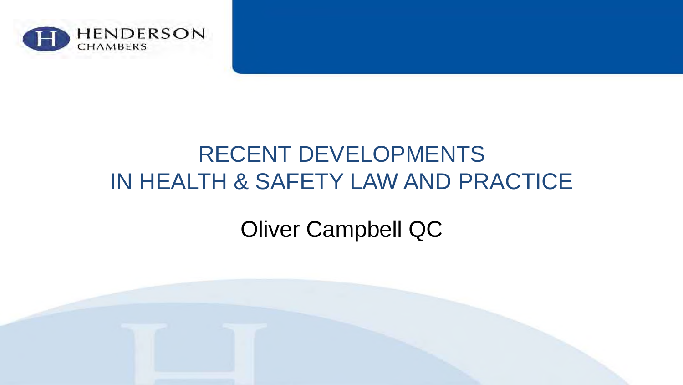

#### RECENT DEVELOPMENTS IN HEALTH & SAFETY LAW AND PRACTICE

#### Oliver Campbell QC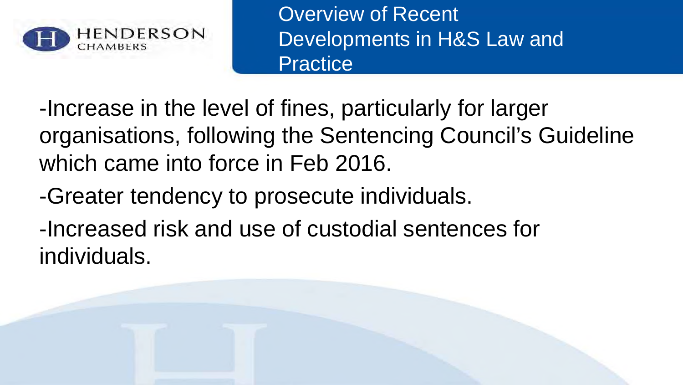

Overview of Recent Developments in H&S Law and **Practice** 

-Increase in the level of fines, particularly for larger organisations, following the Sentencing Council's Guideline which came into force in Feb 2016.

-Greater tendency to prosecute individuals.

-Increased risk and use of custodial sentences for individuals.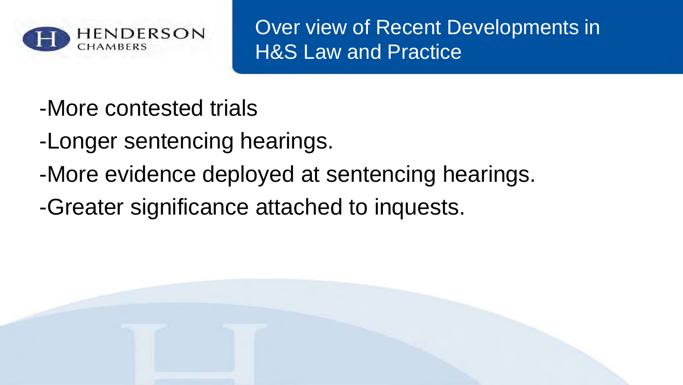

Over view of Recent Developments in **H&S Law and Practice** 

- -More contested trials
- -Longer sentencing hearings.
- -More evidence deployed at sentencing hearings.
- -Greater significance attached to inquests.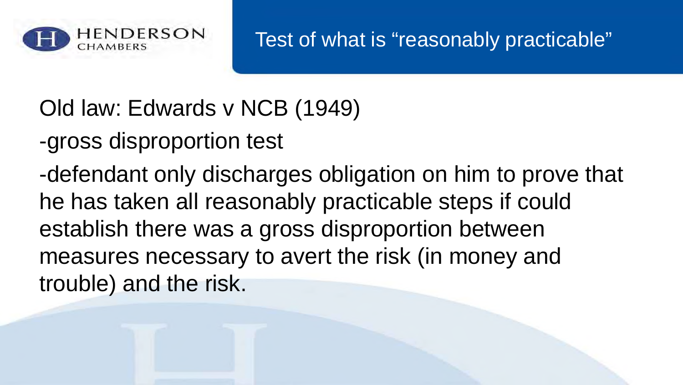

Old law: Edwards v NCB (1949)

-gross disproportion test

-defendant only discharges obligation on him to prove that he has taken all reasonably practicable steps if could establish there was a gross disproportion between measures necessary to avert the risk (in money and trouble) and the risk.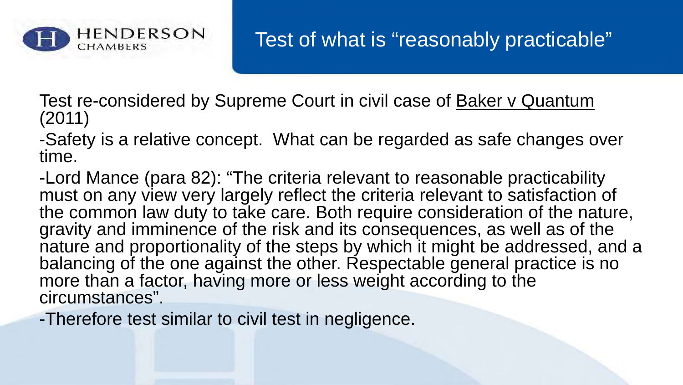

Test re-considered by Supreme Court in civil case of Baker v Quantum (2011)

-Safety is a relative concept. What can be regarded as safe changes over time.

-Lord Mance (para 82): "The criteria relevant to reasonable practicability must on any view very largely reflect the criteria relevant to satisfaction of the common law duty to take care. Both require consideration of the nature, gravity and imminence of the risk and its consequences, as well as of the nature and proportionality of the steps by which it might be addressed, and a balancing of the one against the other. Respectable general practice is no more than a factor, having more or less weight according to the circumstances".

-Therefore test similar to civil test in negligence.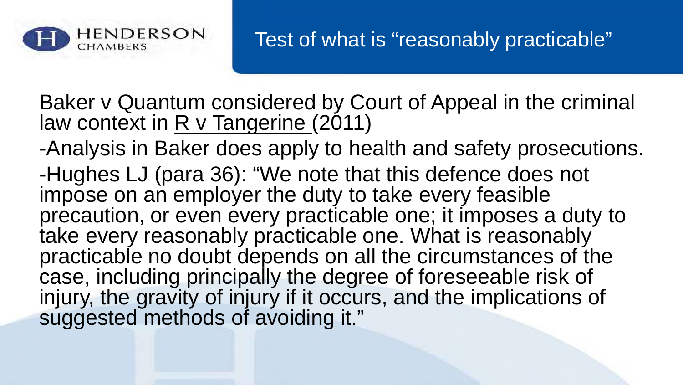

Baker v Quantum considered by Court of Appeal in the criminal law context in  $R$  v Tangerine (2011)

-Analysis in Baker does apply to health and safety prosecutions. -Hughes LJ (para 36): "We note that this defence does not impose on an employer the duty to take every feasible precaution, or even every practicable one; it imposes a duty to take every reasonably practicable one. What is reasonably practicable no doubt depends on all the circumstances of the case, including principally the degree of foreseeable risk of injury, the gravity of injury if it occurs, and the implications of suggested methods of avoiding it."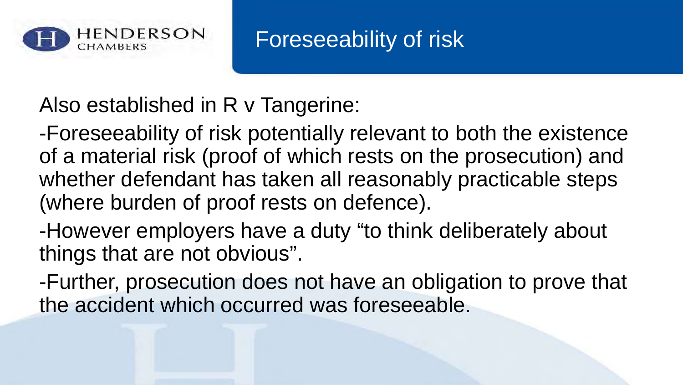

#### Foreseeability of risk

Also established in R v Tangerine:

-Foreseeability of risk potentially relevant to both the existence of a material risk (proof of which rests on the prosecution) and whether defendant has taken all reasonably practicable steps (where burden of proof rests on defence).

-However employers have a duty "to think deliberately about things that are not obvious".

-Further, prosecution does not have an obligation to prove that the accident which occurred was foreseeable.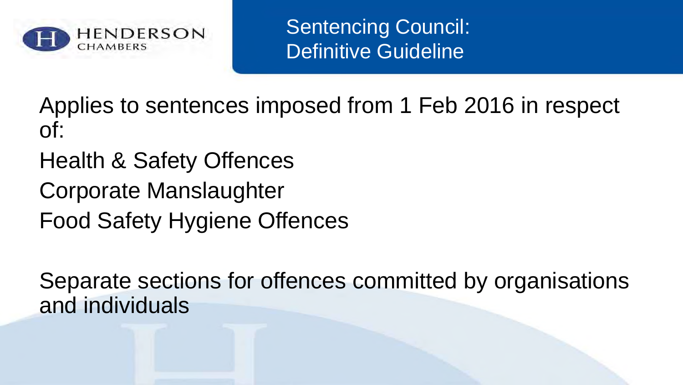

Sentencing Council: Definitive Guideline

Applies to sentences imposed from 1 Feb 2016 in respect of:

- Health & Safety Offences
- Corporate Manslaughter
- Food Safety Hygiene Offences

Separate sections for offences committed by organisations and individuals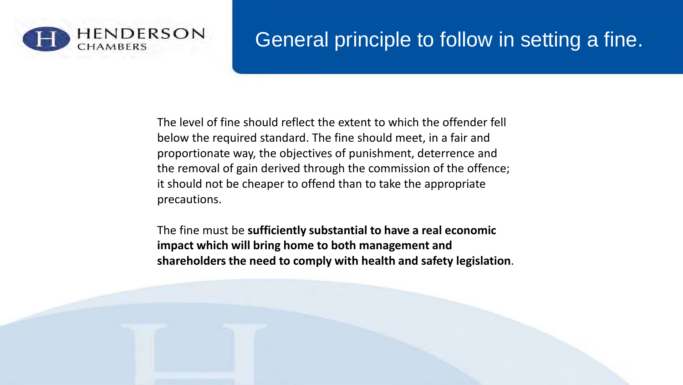

#### General principle to follow in setting a fine.

The level of fine should reflect the extent to which the offender fell below the required standard. The fine should meet, in a fair and proportionate way, the objectives of punishment, deterrence and the removal of gain derived through the commission of the offence; it should not be cheaper to offend than to take the appropriate precautions.

The fine must be **sufficiently substantial to have a real economic impact which will bring home to both management and shareholders the need to comply with health and safety legislation**.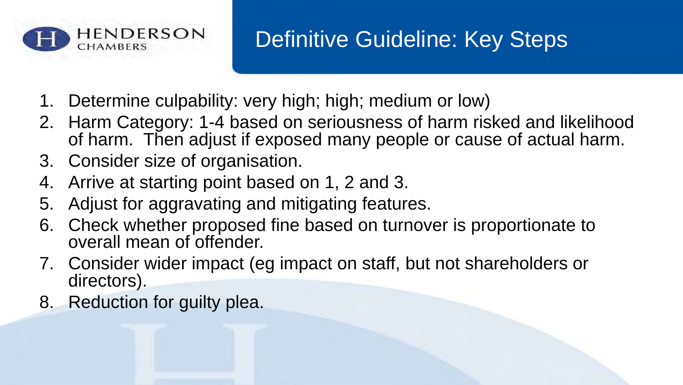

#### Definitive Guideline: Key Steps

- 1. Determine culpability: very high; high; medium or low)
- 2. Harm Category: 1-4 based on seriousness of harm risked and likelihood of harm. Then adjust if exposed many people or cause of actual harm.
- 3. Consider size of organisation.
- 4. Arrive at starting point based on 1, 2 and 3.
- 5. Adjust for aggravating and mitigating features.
- 6. Check whether proposed fine based on turnover is proportionate to overall mean of offender.
- 7. Consider wider impact (eg impact on staff, but not shareholders or directors).
- 8. Reduction for guilty plea.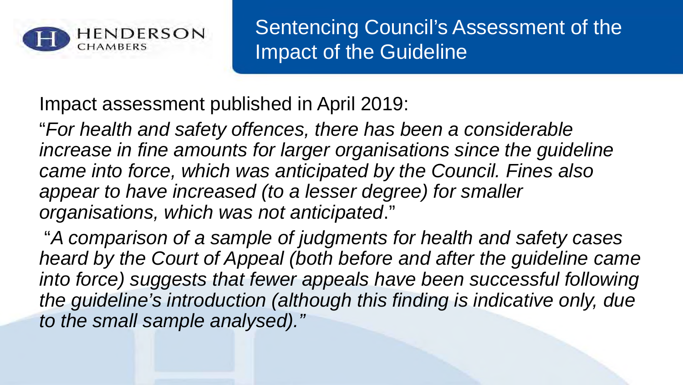

Sentencing Council's Assessment of the Impact of the Guideline

Impact assessment published in April 2019:

"*For health and safety offences, there has been a considerable increase in fine amounts for larger organisations since the guideline came into force, which was anticipated by the Council. Fines also appear to have increased (to a lesser degree) for smaller organisations, which was not anticipated*."

"*A comparison of a sample of judgments for health and safety cases heard by the Court of Appeal (both before and after the guideline came*  into force) suggests that fewer appeals have been successful following *the guideline's introduction (although this finding is indicative only, due to the small sample analysed)."*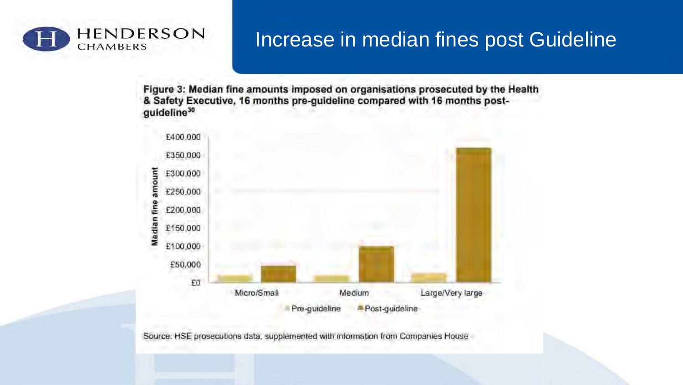

#### Increase in median fines post Guideline

Figure 3: Median fine amounts imposed on organisations prosecuted by the Health & Safety Executive, 16 months pre-guideline compared with 16 months postguideline<sup>30</sup>



Source: HSE prosecutions data, supplemented with information from Companies House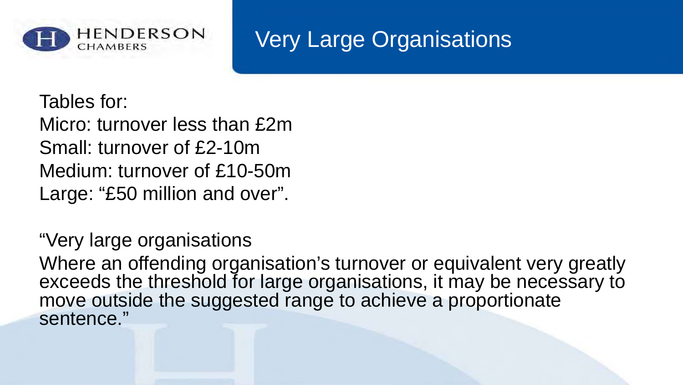

#### Very Large Organisations

Tables for:

Micro: turnover less than £2m Small: turnover of £2-10m Medium: turnover of £10-50m Large: "£50 million and over".

"Very large organisations

Where an offending organisation's turnover or equivalent very greatly exceeds the threshold for large organisations, it may be necessary to move outside the suggested range to achieve a proportionate sentence."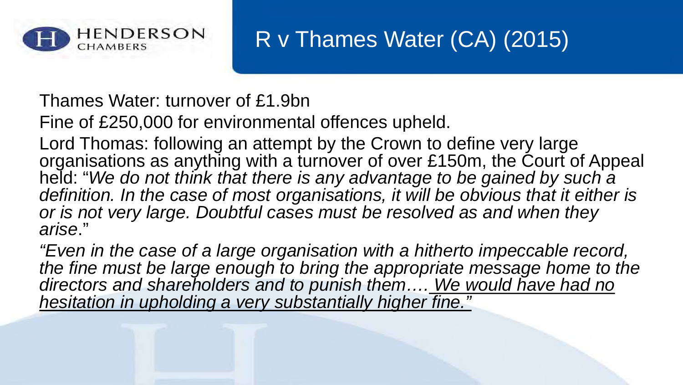

#### R v Thames Water (CA) (2015)

Thames Water: turnover of £1.9bn

Fine of £250,000 for environmental offences upheld.

Lord Thomas: following an attempt by the Crown to define very large organisations as anything with a turnover of over £150m, the Court of Appeal held: "*We do not think that there is any advantage to be gained by such a*  definition. In the case of most organisations, it will be obvious that it either is *or is not very large. Doubtful cases must be resolved as and when they arise*."

*"Even in the case of a large organisation with a hitherto impeccable record, the fine must be large enough to bring the appropriate message home to the directors and shareholders and to punish them…. We would have had no hesitation in upholding a very substantially higher fine."*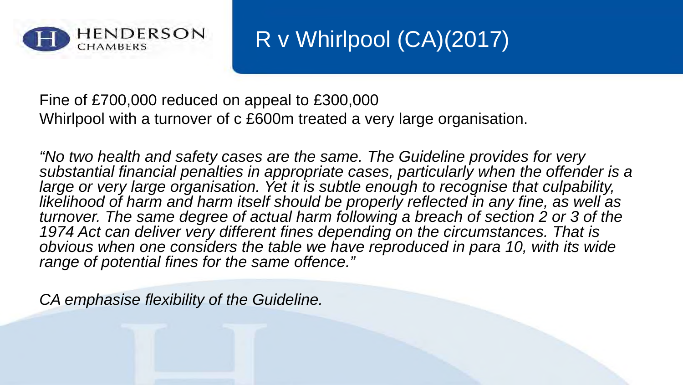

R v Whirlpool (CA)(2017)

Fine of £700,000 reduced on appeal to £300,000 Whirlpool with a turnover of c £600m treated a very large organisation.

*"No two health and safety cases are the same. The Guideline provides for very substantial financial penalties in appropriate cases, particularly when the offender is a*  large or very large organisation. Yet it is subtle enough to recognise that culpability, *likelihood of harm and harm itself should be properly reflected in any fine, as well as turnover. The same degree of actual harm following a breach of section 2 or 3 of the*  1974 Act can deliver very different fines depending on the circumstances. That is *obvious when one considers the table we have reproduced in para 10, with its wide range of potential fines for the same offence."*

*CA emphasise flexibility of the Guideline.*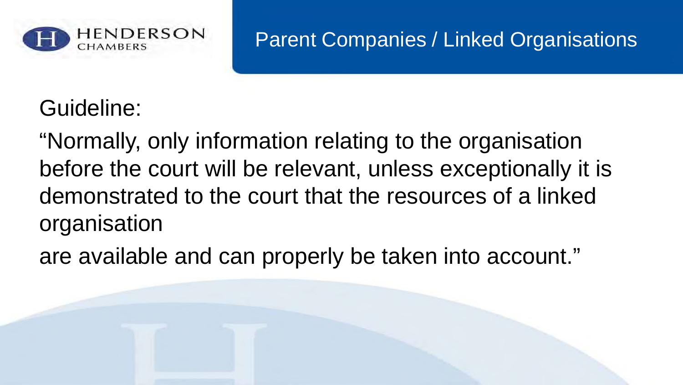

#### Parent Companies / Linked Organisations

Guideline:

"Normally, only information relating to the organisation before the court will be relevant, unless exceptionally it is demonstrated to the court that the resources of a linked organisation

are available and can properly be taken into account."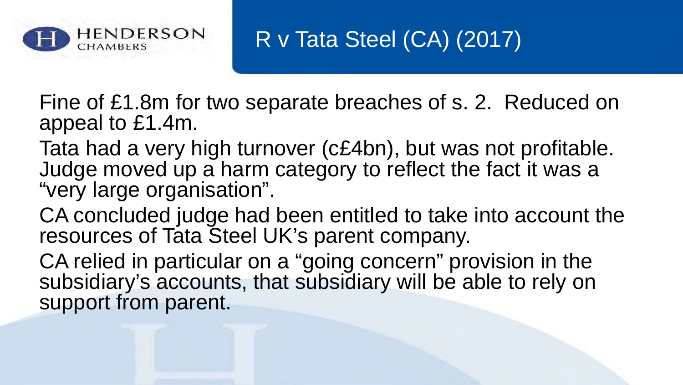

R v Tata Steel (CA) (2017)

Fine of £1.8m for two separate breaches of s. 2. Reduced on appeal to £1.4m.

Tata had a very high turnover (c£4bn), but was not profitable. Judge moved up a harm category to reflect the fact it was a "very large organisation".

CA concluded judge had been entitled to take into account the resources of Tata Steel UK's parent company.

CA relied in particular on a "going concern" provision in the subsidiary's accounts, that subsidiary will be able to rely on support from parent.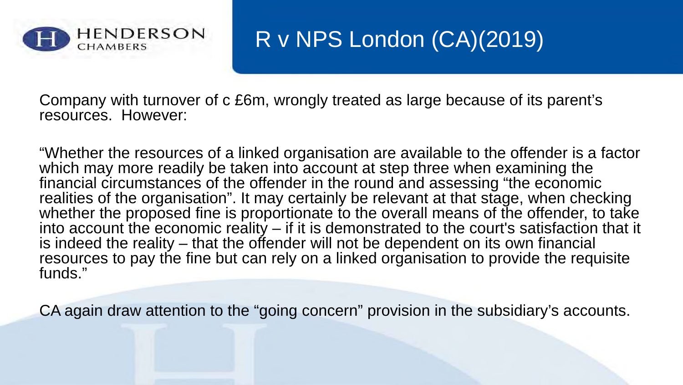

#### R v NPS London (CA)(2019)

Company with turnover of c £6m, wrongly treated as large because of its parent's resources. However:

"Whether the resources of a linked organisation are available to the offender is a factor which may more readily be taken into account at step three when examining the financial circumstances of the offender in the round and assessing "the economic realities of the organisation". It may certainly be relevant at that stage, when checking whether the proposed fine is proportionate to the overall means of the offender, to take into account the economic reality  $-$  if it is demonstrated to the court's satisfaction that it is indeed the reality – that the offender will not be dependent on its own financial resources to pay the fine but can rely on a linked organisation to provide the requisite funds."

CA again draw attention to the "going concern" provision in the subsidiary's accounts.